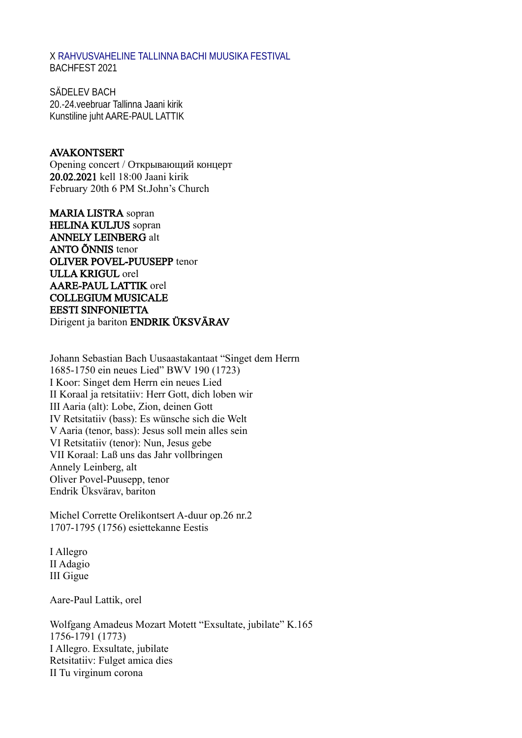X [RAHVUSVAHELINE TALLINNA BACHI MUUSIKA FESTIVAL](https://www.postimees.ee/2957485/iv-tallinna-bachi-nimeline-muusikafestival) BACHFEST 2021

SÄDELEV BACH 20.-24.veebruar Tallinna Jaani kirik Kunstiline juht AARE-PAUL LATTIK

#### AVAKONTSERT

Opening concert / Открывающий концерт 20.02.2021 kell 18:00 Jaani kirik February 20th 6 PM St.John's Church

MARIA LISTRA sopran HELINA KULJUS sopran ANNELY LEINBERG alt ANTO ÕNNIS tenor OLIVER POVEL-PUUSEPP tenor ULLA KRIGUL orel AARE-PAUL LATTIK orel COLLEGIUM MUSICALE EESTI SINFONIETTA Dirigent ja bariton ENDRIK ÜKSVÄRAV

Johann Sebastian Bach Uusaastakantaat "Singet dem Herrn 1685-1750 ein neues Lied" BWV 190 (1723) I Koor: Singet dem Herrn ein neues Lied II Koraal ja retsitatiiv: Herr Gott, dich loben wir III Aaria (alt): Lobe, Zion, deinen Gott IV Retsitatiiv (bass): Es wünsche sich die Welt V Aaria (tenor, bass): Jesus soll mein alles sein VI Retsitatiiv (tenor): Nun, Jesus gebe VII Koraal: Laß uns das Jahr vollbringen Annely Leinberg, alt Oliver Povel-Puusepp, tenor Endrik Üksvärav, bariton

Michel Corrette Orelikontsert A-duur op.26 nr.2 1707-1795 (1756) esiettekanne Eestis

I Allegro II Adagio III Gigue

Aare-Paul Lattik, orel

Wolfgang Amadeus Mozart Motett "Exsultate, jubilate" K.165 1756-1791 (1773) I Allegro. Exsultate, jubilate Retsitatiiv: Fulget amica dies II Tu virginum corona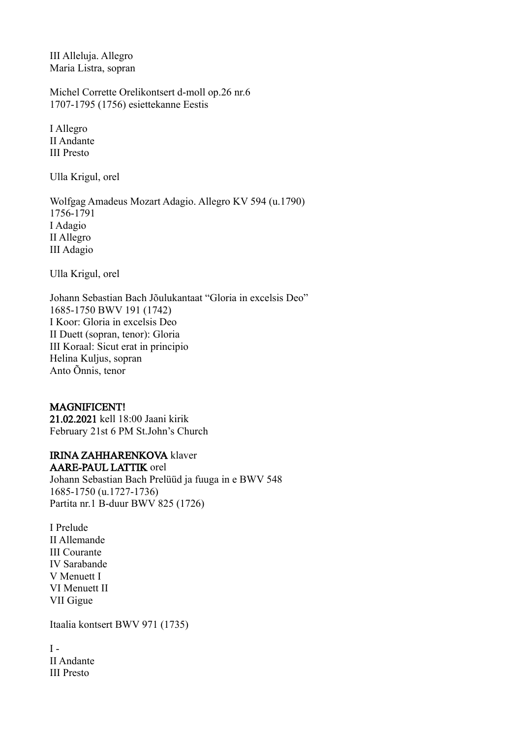III Alleluja. Allegro Maria Listra, sopran

Michel Corrette Orelikontsert d-moll op.26 nr.6 1707-1795 (1756) esiettekanne Eestis

I Allegro II Andante III Presto

Ulla Krigul, orel

Wolfgag Amadeus Mozart Adagio. Allegro KV 594 (u.1790) 1756-1791 I Adagio II Allegro III Adagio

Ulla Krigul, orel

Johann Sebastian Bach Jõulukantaat "Gloria in excelsis Deo" 1685-1750 BWV 191 (1742) I Koor: Gloria in excelsis Deo II Duett (sopran, tenor): Gloria III Koraal: Sicut erat in principio Helina Kuljus, sopran Anto Õnnis, tenor

## MAGNIFICENT!

21.02.2021 kell 18:00 Jaani kirik February 21st 6 PM St.John's Church

#### IRINA ZAHHARENKOVA klaver AARE-PAUL LATTIK orel

Johann Sebastian Bach Prelüüd ja fuuga in e BWV 548 1685-1750 (u.1727-1736) Partita nr.1 B-duur BWV 825 (1726)

I Prelude II Allemande III Courante IV Sarabande V Menuett I VI Menuett II VII Gigue

Itaalia kontsert BWV 971 (1735)

 $I -$ II Andante III Presto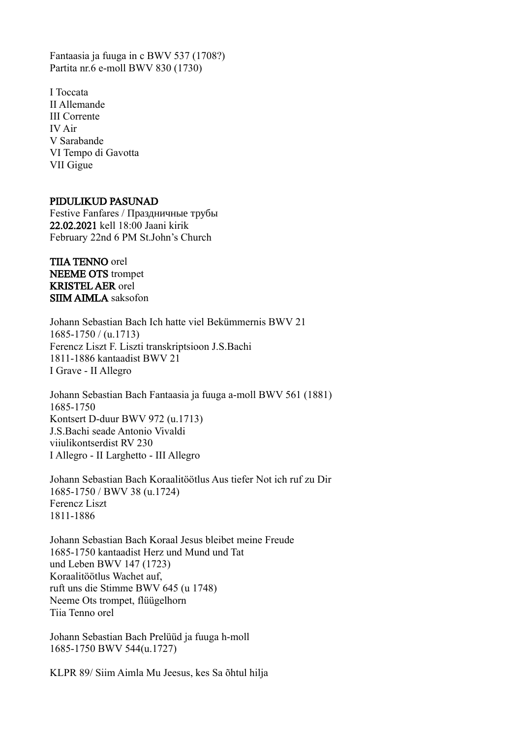Fantaasia ja fuuga in c BWV 537 (1708?) Partita nr.6 e-moll BWV 830 (1730)

I Toccata II Allemande III Corrente IV Air V Sarabande VI Tempo di Gavotta VII Gigue

#### PIDULIKUD PASUNAD

Festive Fanfares / Праздничные трубы 22.02.2021 kell 18:00 Jaani kirik February 22nd 6 PM St.John's Church

TIIA TENNO orel NEEME OTS trompet KRISTEL AER orel SIIM AIMLA saksofon

Johann Sebastian Bach Ich hatte viel Bekümmernis BWV 21 1685-1750 / (u.1713) Ferencz Liszt F. Liszti transkriptsioon J.S.Bachi 1811-1886 kantaadist BWV 21 I Grave - II Allegro

Johann Sebastian Bach Fantaasia ja fuuga a-moll BWV 561 (1881) 1685-1750 Kontsert D-duur BWV 972 (u.1713) J.S.Bachi seade Antonio Vivaldi viiulikontserdist RV 230 I Allegro - II Larghetto - III Allegro

Johann Sebastian Bach Koraalitöötlus Aus tiefer Not ich ruf zu Dir 1685-1750 / BWV 38 (u.1724) Ferencz Liszt 1811-1886

Johann Sebastian Bach Koraal Jesus bleibet meine Freude 1685-1750 kantaadist Herz und Mund und Tat und Leben BWV 147 (1723) Koraalitöötlus Wachet auf, ruft uns die Stimme BWV 645 (u 1748) Neeme Ots trompet, flüügelhorn Tiia Tenno orel

Johann Sebastian Bach Prelüüd ja fuuga h-moll 1685-1750 BWV 544(u.1727)

KLPR 89/ Siim Aimla Mu Jeesus, kes Sa õhtul hilja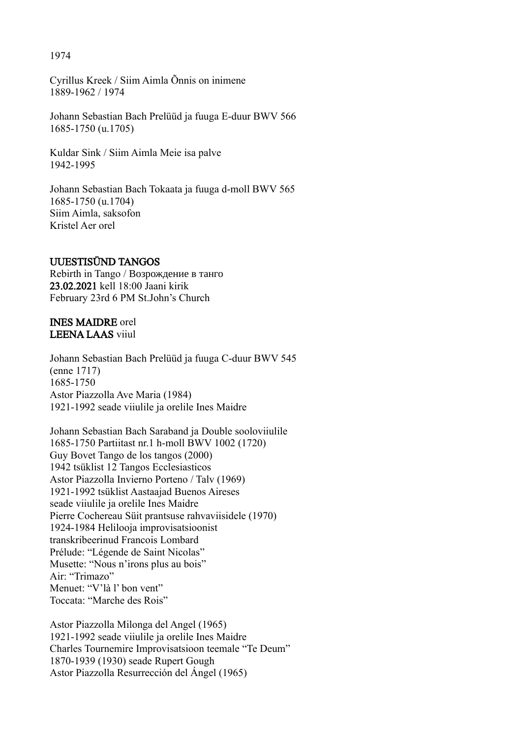1974

Cyrillus Kreek / Siim Aimla Õnnis on inimene 1889-1962 / 1974

Johann Sebastian Bach Prelüüd ja fuuga E-duur BWV 566 1685-1750 (u.1705)

Kuldar Sink / Siim Aimla Meie isa palve 1942-1995

Johann Sebastian Bach Tokaata ja fuuga d-moll BWV 565 1685-1750 (u.1704) Siim Aimla, saksofon Kristel Aer orel

## UUESTISÜND TANGOS

Rebirth in Tango / Возрождение в танго 23.02.2021 kell 18:00 Jaani kirik February 23rd 6 PM St.John's Church

### INES MAIDRE orel LEENA LAAS viiul

Johann Sebastian Bach Prelüüd ja fuuga C-duur BWV 545 (enne 1717) 1685-1750 Astor Piazzolla Ave Maria (1984) 1921-1992 seade viiulile ja orelile Ines Maidre

Johann Sebastian Bach Saraband ja Double sooloviiulile 1685-1750 Partiitast nr.1 h-moll BWV 1002 (1720) Guy Bovet Tango de los tangos (2000) 1942 tsüklist 12 Tangos Ecclesiasticos Astor Piazzolla Invierno Porteno / Talv (1969) 1921-1992 tsüklist Aastaajad Buenos Aireses seade viiulile ja orelile Ines Maidre Pierre Cochereau Süit prantsuse rahvaviisidele (1970) 1924-1984 Helilooja improvisatsioonist transkribeerinud Francois Lombard Prélude: "Légende de Saint Nicolas" Musette: "Nous n'irons plus au bois" Air: "Trimazo" Menuet: "V'là l' bon vent" Toccata: "Marche des Rois"

Astor Piazzolla Milonga del Angel (1965) 1921-1992 seade viiulile ja orelile Ines Maidre Charles Tournemire Improvisatsioon teemale "Te Deum" 1870-1939 (1930) seade Rupert Gough Astor Piazzolla Resurrección del Ángel (1965)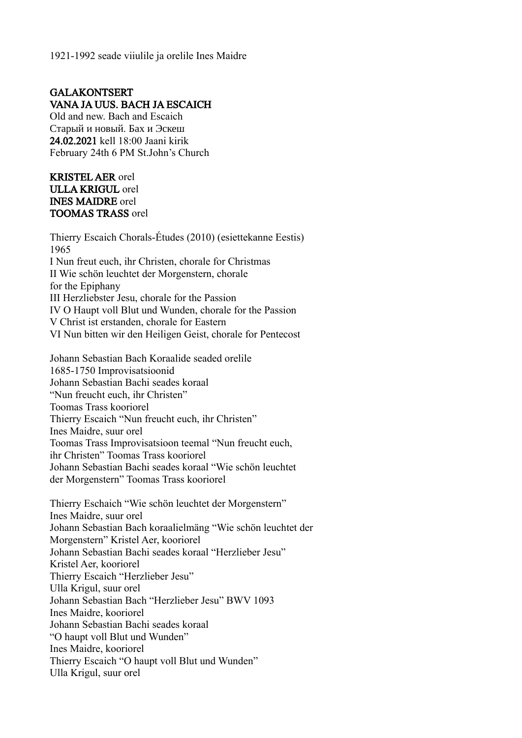1921-1992 seade viiulile ja orelile Ines Maidre

# GALAKONTSERT VANA JA UUS. BACH JA ESCAICH

Old and new. Bach and Escaich Старый и новый. Бах и Эскеш 24.02.2021 kell 18:00 Jaani kirik February 24th 6 PM St.John's Church

## KRISTEL AER orel ULLA KRIGUL orel INES MAIDRE orel TOOMAS TRASS orel

Thierry Escaich Chorals-Études (2010) (esiettekanne Eestis) 1965 I Nun freut euch, ihr Christen, chorale for Christmas II Wie schön leuchtet der Morgenstern, chorale for the Epiphany III Herzliebster Jesu, chorale for the Passion IV O Haupt voll Blut und Wunden, chorale for the Passion V Christ ist erstanden, chorale for Eastern VI Nun bitten wir den Heiligen Geist, chorale for Pentecost

Johann Sebastian Bach Koraalide seaded orelile 1685-1750 Improvisatsioonid Johann Sebastian Bachi seades koraal "Nun freucht euch, ihr Christen" Toomas Trass kooriorel Thierry Escaich "Nun freucht euch, ihr Christen" Ines Maidre, suur orel Toomas Trass Improvisatsioon teemal "Nun freucht euch, ihr Christen" Toomas Trass kooriorel Johann Sebastian Bachi seades koraal "Wie schön leuchtet der Morgenstern" Toomas Trass kooriorel

Thierry Eschaich "Wie schön leuchtet der Morgenstern" Ines Maidre, suur orel Johann Sebastian Bach koraalielmäng "Wie schön leuchtet der Morgenstern" Kristel Aer, kooriorel Johann Sebastian Bachi seades koraal "Herzlieber Jesu" Kristel Aer, kooriorel Thierry Escaich "Herzlieber Jesu" Ulla Krigul, suur orel Johann Sebastian Bach "Herzlieber Jesu" BWV 1093 Ines Maidre, kooriorel Johann Sebastian Bachi seades koraal "O haupt voll Blut und Wunden" Ines Maidre, kooriorel Thierry Escaich "O haupt voll Blut und Wunden" Ulla Krigul, suur orel